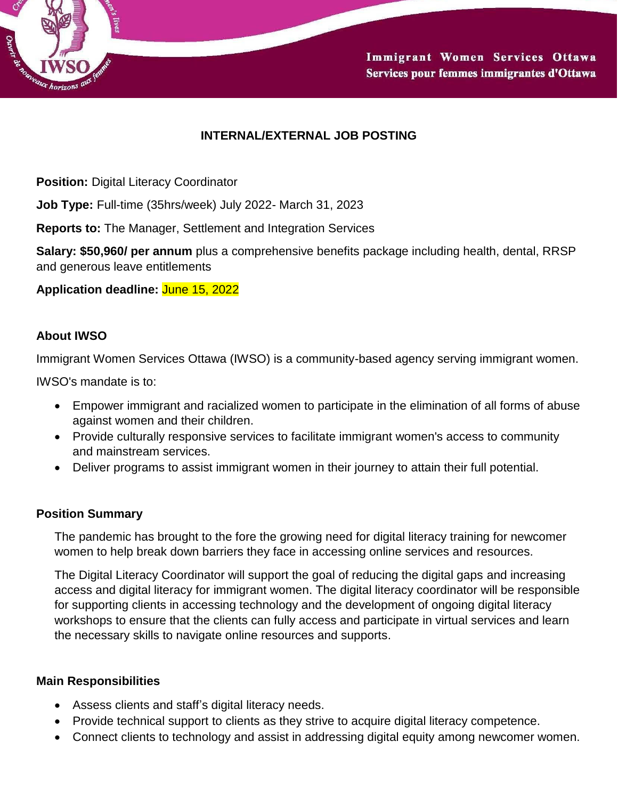

# **INTERNAL/EXTERNAL JOB POSTING**

**Position:** Digital Literacy Coordinator

**Job Type:** Full-time (35hrs/week) July 2022- March 31, 2023

**Reports to:** The Manager, Settlement and Integration Services

**Salary: \$50,960/ per annum** plus a comprehensive benefits package including health, dental, RRSP and generous leave entitlements

**Application deadline:** June 15, 2022

### **About IWSO**

Immigrant Women Services Ottawa (IWSO) is a community-based agency serving immigrant women.

IWSO's mandate is to:

- Empower immigrant and racialized women to participate in the elimination of all forms of abuse against women and their children.
- Provide culturally responsive services to facilitate immigrant women's access to community and mainstream services.
- Deliver programs to assist immigrant women in their journey to attain their full potential.

#### **Position Summary**

The pandemic has brought to the fore the growing need for digital literacy training for newcomer women to help break down barriers they face in accessing online services and resources.

The Digital Literacy Coordinator will support the goal of reducing the digital gaps and increasing access and digital literacy for immigrant women. The digital literacy coordinator will be responsible for supporting clients in accessing technology and the development of ongoing digital literacy workshops to ensure that the clients can fully access and participate in virtual services and learn the necessary skills to navigate online resources and supports.

#### **Main Responsibilities**

- Assess clients and staff's digital literacy needs.
- Provide technical support to clients as they strive to acquire digital literacy competence.
- Connect clients to technology and assist in addressing digital equity among newcomer women.